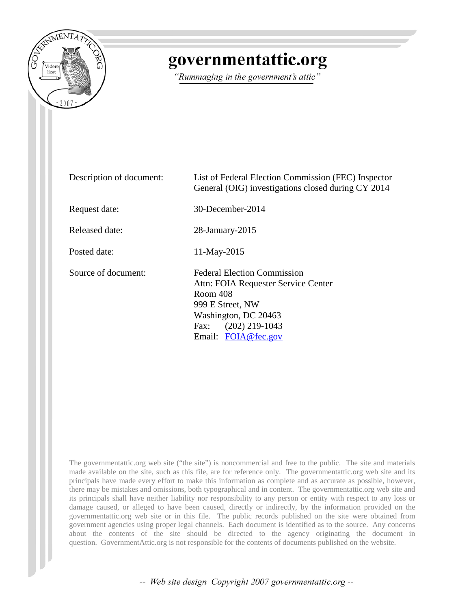

## governmentattic.org

"Rummaging in the government's attic"

| Description of document: | List of Federal Election Commission (FEC) Inspector<br>General (OIG) investigations closed during CY 2014                                                                            |  |  |
|--------------------------|--------------------------------------------------------------------------------------------------------------------------------------------------------------------------------------|--|--|
| Request date:            | 30-December-2014                                                                                                                                                                     |  |  |
| Released date:           | $28$ -January- $2015$                                                                                                                                                                |  |  |
| Posted date:             | 11-May-2015                                                                                                                                                                          |  |  |
| Source of document:      | <b>Federal Election Commission</b><br>Attn: FOIA Requester Service Center<br>Room 408<br>999 E Street, NW<br>Washington, DC 20463<br>$(202)$ 219-1043<br>Fax:<br>Email: FOIA@fec.gov |  |  |

The governmentattic.org web site ("the site") is noncommercial and free to the public. The site and materials made available on the site, such as this file, are for reference only. The governmentattic.org web site and its principals have made every effort to make this information as complete and as accurate as possible, however, there may be mistakes and omissions, both typographical and in content. The governmentattic.org web site and its principals shall have neither liability nor responsibility to any person or entity with respect to any loss or damage caused, or alleged to have been caused, directly or indirectly, by the information provided on the governmentattic.org web site or in this file. The public records published on the site were obtained from government agencies using proper legal channels. Each document is identified as to the source. Any concerns about the contents of the site should be directed to the agency originating the document in question. GovernmentAttic.org is not responsible for the contents of documents published on the website.

-- Web site design Copyright 2007 governmentattic.org --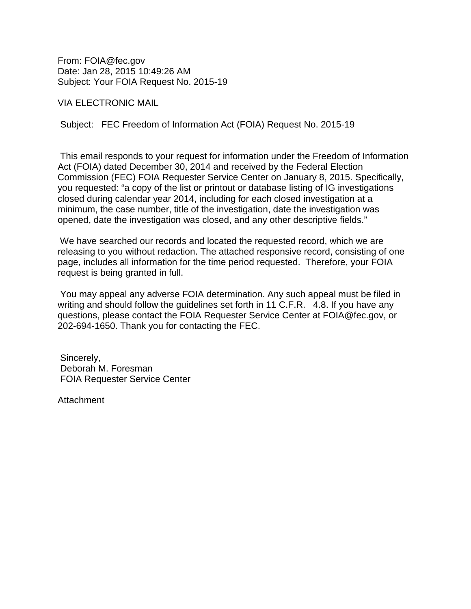From: FOIA@fec.gov Date: Jan 28, 2015 10:49:26 AM Subject: Your FOIA Request No. 2015-19

VIA ELECTRONIC MAIL

Subject: FEC Freedom of Information Act (FOIA) Request No. 2015-19

This email responds to your request for information under the Freedom of Information Act (FOIA) dated December 30, 2014 and received by the Federal Election Commission (FEC) FOIA Requester Service Center on January 8, 2015. Specifically, you requested: "a copy of the list or printout or database listing of IG investigations closed during calendar year 2014, including for each closed investigation at a minimum, the case number, title of the investigation, date the investigation was opened, date the investigation was closed, and any other descriptive fields."

We have searched our records and located the requested record, which we are releasing to you without redaction. The attached responsive record, consisting of one page, includes all information for the time period requested. Therefore, your FOIA request is being granted in full.

You may appeal any adverse FOIA determination. Any such appeal must be filed in writing and should follow the guidelines set forth in 11 C.F.R. 4.8. If you have any questions, please contact the FOIA Requester Service Center at FOIA@fec.gov, or 202-694-1650. Thank you for contacting the FEC.

Sincerely, Deborah M. Foresman FOIA Requester Service Center

Attachment